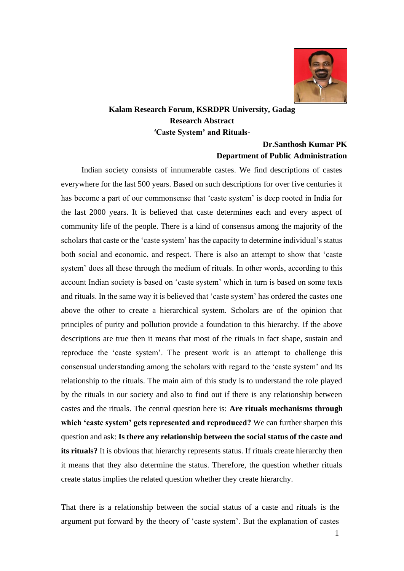

## **Kalam Research Forum, KSRDPR University, Gadag Research Abstract 'Caste System' and Rituals-**

## **Dr.Santhosh Kumar PK Department of Public Administration**

Indian society consists of innumerable castes. We find descriptions of castes everywhere for the last 500 years. Based on such descriptions for over five centuries it has become a part of our commonsense that 'caste system' is deep rooted in India for the last 2000 years. It is believed that caste determines each and every aspect of community life of the people. There is a kind of consensus among the majority of the scholars that caste or the 'caste system' has the capacity to determine individual's status both social and economic, and respect. There is also an attempt to show that 'caste system' does all these through the medium of rituals. In other words, according to this account Indian society is based on 'caste system' which in turn is based on some texts and rituals. In the same way it is believed that 'caste system' has ordered the castes one above the other to create a hierarchical system. Scholars are of the opinion that principles of purity and pollution provide a foundation to this hierarchy. If the above descriptions are true then it means that most of the rituals in fact shape, sustain and reproduce the 'caste system'. The present work is an attempt to challenge this consensual understanding among the scholars with regard to the 'caste system' and its relationship to the rituals. The main aim of this study is to understand the role played by the rituals in our society and also to find out if there is any relationship between castes and the rituals. The central question here is: **Are rituals mechanisms through which 'caste system' gets represented and reproduced?** We can further sharpen this question and ask: **Is there any relationship between the social status of the caste and its rituals?** It is obvious that hierarchy represents status. If rituals create hierarchy then it means that they also determine the status. Therefore, the question whether rituals create status implies the related question whether they create hierarchy.

That there is a relationship between the social status of a caste and rituals is the argument put forward by the theory of 'caste system'. But the explanation of castes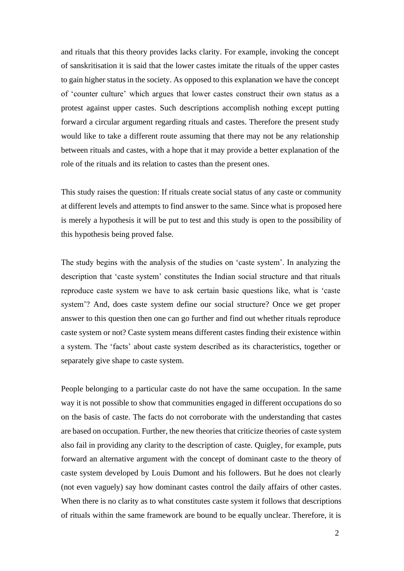and rituals that this theory provides lacks clarity. For example, invoking the concept of sanskritisation it is said that the lower castes imitate the rituals of the upper castes to gain higher status in the society. As opposed to this explanation we have the concept of 'counter culture' which argues that lower castes construct their own status as a protest against upper castes. Such descriptions accomplish nothing except putting forward a circular argument regarding rituals and castes. Therefore the present study would like to take a different route assuming that there may not be any relationship between rituals and castes, with a hope that it may provide a better explanation of the role of the rituals and its relation to castes than the present ones.

This study raises the question: If rituals create social status of any caste or community at different levels and attempts to find answer to the same. Since what is proposed here is merely a hypothesis it will be put to test and this study is open to the possibility of this hypothesis being proved false.

The study begins with the analysis of the studies on 'caste system'. In analyzing the description that 'caste system' constitutes the Indian social structure and that rituals reproduce caste system we have to ask certain basic questions like, what is 'caste system'? And, does caste system define our social structure? Once we get proper answer to this question then one can go further and find out whether rituals reproduce caste system or not? Caste system means different castes finding their existence within a system. The 'facts' about caste system described as its characteristics, together or separately give shape to caste system.

People belonging to a particular caste do not have the same occupation. In the same way it is not possible to show that communities engaged in different occupations do so on the basis of caste. The facts do not corroborate with the understanding that castes are based on occupation. Further, the new theories that criticize theories of caste system also fail in providing any clarity to the description of caste. Quigley, for example, puts forward an alternative argument with the concept of dominant caste to the theory of caste system developed by Louis Dumont and his followers. But he does not clearly (not even vaguely) say how dominant castes control the daily affairs of other castes. When there is no clarity as to what constitutes caste system it follows that descriptions of rituals within the same framework are bound to be equally unclear. Therefore, it is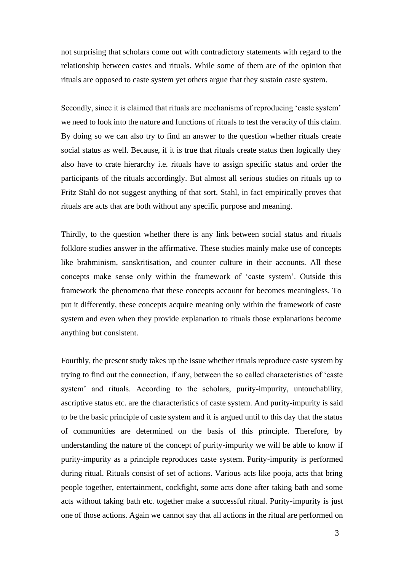not surprising that scholars come out with contradictory statements with regard to the relationship between castes and rituals. While some of them are of the opinion that rituals are opposed to caste system yet others argue that they sustain caste system.

Secondly, since it is claimed that rituals are mechanisms of reproducing 'caste system' we need to look into the nature and functions of rituals to test the veracity of this claim. By doing so we can also try to find an answer to the question whether rituals create social status as well. Because, if it is true that rituals create status then logically they also have to crate hierarchy i.e. rituals have to assign specific status and order the participants of the rituals accordingly. But almost all serious studies on rituals up to Fritz Stahl do not suggest anything of that sort. Stahl, in fact empirically proves that rituals are acts that are both without any specific purpose and meaning.

Thirdly, to the question whether there is any link between social status and rituals folklore studies answer in the affirmative. These studies mainly make use of concepts like brahminism, sanskritisation, and counter culture in their accounts. All these concepts make sense only within the framework of 'caste system'. Outside this framework the phenomena that these concepts account for becomes meaningless. To put it differently, these concepts acquire meaning only within the framework of caste system and even when they provide explanation to rituals those explanations become anything but consistent.

Fourthly, the present study takes up the issue whether rituals reproduce caste system by trying to find out the connection, if any, between the so called characteristics of 'caste system' and rituals. According to the scholars, purity-impurity, untouchability, ascriptive status etc. are the characteristics of caste system. And purity-impurity is said to be the basic principle of caste system and it is argued until to this day that the status of communities are determined on the basis of this principle. Therefore, by understanding the nature of the concept of purity-impurity we will be able to know if purity-impurity as a principle reproduces caste system. Purity-impurity is performed during ritual. Rituals consist of set of actions. Various acts like pooja, acts that bring people together, entertainment, cockfight, some acts done after taking bath and some acts without taking bath etc. together make a successful ritual. Purity-impurity is just one of those actions. Again we cannot say that all actions in the ritual are performed on